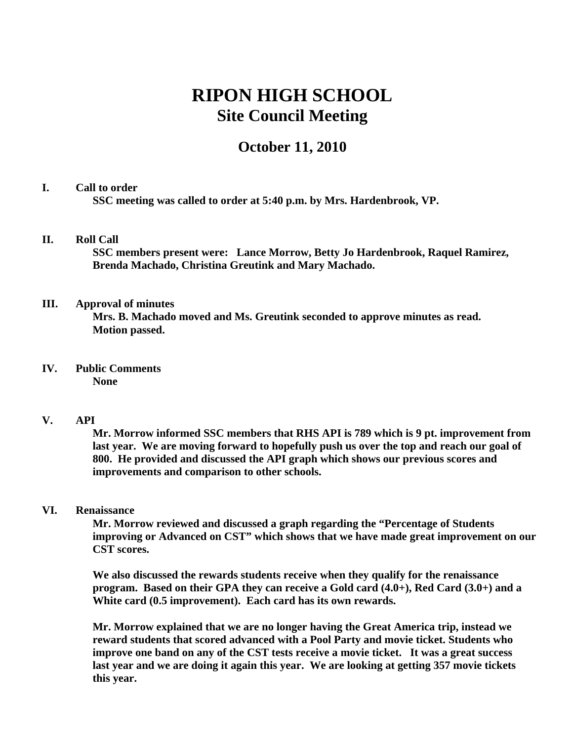# **RIPON HIGH SCHOOL Site Council Meeting**

# **October 11, 2010**

# **I. Call to order**

**SSC meeting was called to order at 5:40 p.m. by Mrs. Hardenbrook, VP.** 

# **II. Roll Call**

**SSC members present were: Lance Morrow, Betty Jo Hardenbrook, Raquel Ramirez, Brenda Machado, Christina Greutink and Mary Machado.** 

# **III. Approval of minutes**

**Mrs. B. Machado moved and Ms. Greutink seconded to approve minutes as read. Motion passed.** 

#### **IV. Public Comments None**

## **V. API**

**Mr. Morrow informed SSC members that RHS API is 789 which is 9 pt. improvement from last year. We are moving forward to hopefully push us over the top and reach our goal of 800. He provided and discussed the API graph which shows our previous scores and improvements and comparison to other schools.** 

## **VI. Renaissance**

**Mr. Morrow reviewed and discussed a graph regarding the "Percentage of Students improving or Advanced on CST" which shows that we have made great improvement on our CST scores.** 

**We also discussed the rewards students receive when they qualify for the renaissance program. Based on their GPA they can receive a Gold card (4.0+), Red Card (3.0+) and a White card (0.5 improvement). Each card has its own rewards.** 

**Mr. Morrow explained that we are no longer having the Great America trip, instead we reward students that scored advanced with a Pool Party and movie ticket. Students who improve one band on any of the CST tests receive a movie ticket. It was a great success last year and we are doing it again this year. We are looking at getting 357 movie tickets this year.**